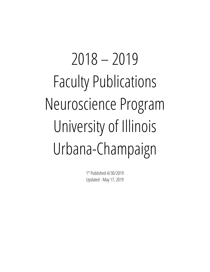# 2018 – 2019 Faculty Publications Neuroscience Program University of Illinois Urbana-Champaign

1 st Published 4/30/2019 Updated - May 17, 2019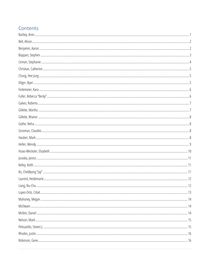#### Contents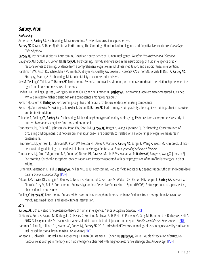## <span id="page-3-0"></span>Barbey, Aron

#### *Forthcoming*

Anderson E, **Barbey AK**. Forthcoming. Moral reasoning: A network neuroscience perspective.

- Barbey AK, Karama S, Haier RJ. (Editors). Forthcoming. The Cambridge Handbook of Intelligence and Cognitive Neuroscience. *Cambridge University Press.*
- Barbey AK, Posner MI. (Editors). Forthcoming. Cognitive Neuroscience of Human Intelligence. *Trends in Neuroscience and Education.*
- Daugherty AM, Sutton BP, Cohen NJ, Barbey AK. Forthcoming. Individual differences in the neurobiology of fluid intelligence predict responsiveness to training: Evidence from a comprehensive cognitive, mindfulness meditation, and aerobic fitness intervention.
- Harshman SW, Pitsch RL, Schaeublin NM, Smith ZK, Strayer KE, Qualley AV, Cowan D, Rose SD, O'Connor ML, Eckerle JJ, Das TK, Barbey AK, Strang AJ, Martin JA. Forthcoming. Metabolic stability of exercise-induced sweat.
- Key M, Zwilling C, Talukdar T, Barbey AK. Forthcoming. Essential amino acids, vitamins, and minerals moderate the relationship between the right frontal pole and measures of memory.
- Pindus DM, Zwilling C, Jarret J, Rohrig HS, Hillman CH, Cohen NJ, Kramer AF, **Barbey AK**. Forthcoming. Accelerometer-measured sustained MVPA is related to higher decision-making competence among young adults.
- Roman FJ, Colom R, **Barbey AK**. Forthcoming. Cognitive and neural architecture of decision making competence.
- Roman FJ, Zamroziewicz M, Zwilling C, Talukdar T, Colom R, Barbey AK. Forthcoming. Brain plasticity after cognitive training, physical exercise, and brain stimulation.
- Talukdar T, Zwilling CE, **Barbey AK**. Forthcoming. Multivariate phenotypes of healthy brain aging: Evidence from a comprehensive study of nutrient biomarkers, cognitive function, and brain health.
- Tanprasertsuk J, Ferland G, Johnson MA, Poon LW, Scott TM, Barbey AK, Barger K, Wang X, Johnson EJ. Forthcoming. Concentrations of circulating phylloquinone, but not cerebral menaquinone-4, are positively correlated with a wide range of cognitive measures in centenarians.
- Tanprasertsuk J, Johnson EJ, Johnson MA, Poon LW, Nelson PT, Davey A, Martin P, Barbey AK, Barger K, Wang X, Scott TM. F. In press. Cliniconeuropathological findings in the oldest old from the Georgia Centenarian Study. *Journal of Alzheimer's Disease.*
- Tanprasertsuk J, Scott TM, Johnson MA, Poon LW, Nelson PT, Davey A, Martin P, Vishwanathan R, Barbey AK, Barger K, Wang X, Johnson EJ. Forthcoming. Cerebral α-tocopherol concentrations are inversely associated with early progression of neurofibrillary tangles in older adults.
- Turner BO, Santander T, Paul EJ, **Barbey AK**, Miller MB. 2019. Forthcoming. Reply to 'fMRI replicability depends upon sufficient individual-level data'. *Communications Biology* [\[PDF\]](https://www.decisionneurosciencelab.org/wp-content/uploads/2019/04/Turner_et_al_2019.pdf)
- Yakoub KM, Davies DJ, Zhangjie S, Bentley C, Toman E, Hammond D, Forcione M, Watson CN, Bishop JRB, Cooper L, Barbey AK, Sawlani V, Di Pietro V, Grey M, Belli A. Forthcoming. An investigation into Repetitive Concussion in Sport (RECOS): A study protocol of a prospective, observational cohort study.
- Zwilling C, Barbey AK. Forthcoming. Enhanced decision-making through multimodal training: Evidence from a comprehensive cognitive, mindfulness meditation, and aerobic fitness intervention.

#### *2018*

- Barbey, AK. 2018. Network neuroscience theory of human intelligence. *Trends in Cognitive Sciences.* [\[PDF\]](https://www.decisionneurosciencelab.org/wp-content/uploads/2017/12/Barbey_2017a.pdf)
- Di Pietro V, Porto E, Ragusa M, Barbagallo C, Davies D, Forcione M, Logan A, Di Pietro C, Purrello M, Grey M, Hammond D, Barbey AK, Belli A. 2018. Salivary microRNAs: Diagnostic markers of mild traumatic brain injury in contact-sport. *Frontiers in Molecular Neuroscience.* [\[PDF\]](https://www.decisionneurosciencelab.org/wp-content/uploads/2018/08/DiPietro_et_al_2018.pdf)
- Hammer R, Paul EJ, Hillman CH, Kramer AF, Cohen NJ, Barbey AK. 2018. Individual differences in analogical reasoning revealed by multivariate task-based functional brain imaging. *NeuroImage*.[\[PDF\]](https://www.decisionneurosciencelab.org/wp-content/uploads/2018/10/Hammer_et_al_2018.pdf)
- Johnson CL, Schwarb H, Horecka KM, McGarry DJ, Hillman CH, Kramer AF, Cohen NJ, Barbey AK. 2018. Double dissociation of structurefunction relationships in memory and fluid intelligence observed with magnetic resonance elastography. *NeuroImage*. [\[PDF\]](https://www.decisionneurosciencelab.org/wp-content/uploads/2018/01/Johnson_et_al_2018.pdf)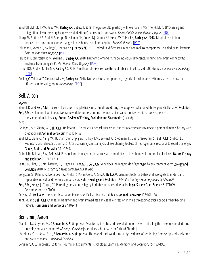Sandroff BM, Motl RW, Reed WR, Barbey AK, DeLuca J. 2018. Integrative CNS plasticity with exercise in MS: The PRIMERS (Processing and Integration of Multisensory Exercise-Related Stimuli) conceptual framework. *Neurorehabilitation and Neural Repair*. [\[PDF\]](https://www.decisionneurosciencelab.org/wp-content/uploads/2018/09/Sandroff_et_al_2018.pdf)

- Sharp PB, Sutton BP, Paul EJ, Sherepa N, Hillman CH, Cohen NJ, Kramer AF, Heller W, Telzer EH, Barbey AK. 2018. Mindfulness training induces structural connectome changes in mechanisms of interoception. *Scientific Reports*. [\[PDF\]](https://www.decisionneurosciencelab.org/wp-content/uploads/2018/05/Sharp_et_al_2018.pdf)
- Talukdar T, Roman F, Zwilling C, Operskalski J, Barbey AK. 2018. Individual differences in decision making competence revealed by multivariate fMRI. *Human Brain Mapping*. [\[PDF\]](https://www.decisionneurosciencelab.org/wp-content/uploads/2018/03/Talukdar_et_al_2018.pdf)
- Talukdar T, Zamroziewicz M, Zwilling C, Barbey AK. 2018. Nutrient biomarkers shape individual differences in functional brain connectivity: Evidence from omega-3 PUFAs. *Human Brain Mapping.* [\[PDF\]](https://www.decisionneurosciencelab.org/wp-content/uploads/2018/12/Talukdar_et_al-2018b.pdf)
- Turner BO, Paul EJ, Miller MB, Barbey AK. 2018. Small sample sizes reduce the replicability of task-based fMRI studies. *Communications Biology*. [\[PDF\]](https://www.decisionneurosciencelab.org/wp-content/uploads/2018/06/Turner_et_al_2018.pdf)

Zwilling C, Talukdar T, Zamroziewicz M, Barbey AK. 2018. Nutrient biomarker patterns, cognitive function, and fMRI measures of network efficiency in the aging brain. *NeuroImage*. [\[PDF\]](https://www.decisionneurosciencelab.org/wp-content/uploads/2018/12/Zwilling_et_al_2018.pdf)

# <span id="page-4-0"></span>Bell, Alison

#### *In press*

Stein, L.R. and Bell, A.M. The role of variation and plasticity in parental care during the adaptive radiation of threespine sticklebacks. Evolution Bell, A.M., Hellmann, J. An integrative framework for understanding the mechanisms and multigenerational consequences of

transgenerational plasticity. Annual Review of Ecology, Evolution and Systematics (invited)

#### *2018*

- Dellinger, M<sup>\*</sup>., Zhang, W. Bell, A.M., Hellmann, J. Do male sticklebacks use visual and/or olfactory cues to assess a potential mate's history with predation risk? Animal Behaviour 145: 151-159.
- Saul, M.C. Blatti, C., Yang, W., Bukhari, S.A., Shpigler, H., Troy, J.M., Seward, C., Sloofman, L., Chandrasekaran, S., **Bell, A.M.**, Stubbs, L., Robinson, G.E., Zhao, S.D., Sinha, S. Cross-species systems analysis of evolutionary toolkits of neurogenomic response to social challenge. Genes, Brain and Behavior 18: e12502
- Stein, L.R., Bukhari, S.A., Bell, A.M. Personal and transgenerational cues are nonadditive at the phenotypic and molecular level. Nature Ecology and Evolution 2: 1306-0311
- Saltz, J.B., Flint, J., Gomulkiewicz, R., Hughes, K., Keagy, J., Bell, A.M. Why does the magnitude of genotype by environment vary? Ecology and Evolution 2018:1-12 *(part of a series organized by A.M. Bell)*
- Bengston, S., Dahan, R., Donaldson, Z., Phelps, S.P, van Oers, K., Sih, A., Bell, A.M. Genomic tools for behavioral ecologists to understand repeatable individual differences in behavior. Nature Ecology and Evolution 2:944-955 *(part of a series organized by A.M. Bell)*
- Bell, A.M., Keagy, J., Trapp, R<sup>\*</sup>. Parenting behaviour is highly heritable in male sticklebacks. Royal Society Open Science 5: 171029. Recommended by F1000

Bensky, M., Bell, A.M. Intraspecific variation in cue-specific learning in sticklebacks. Animal Behaviour 137:161-168

Kent, M. and Bell, A.M. Changes in behavior and brain immediate early gene expression in male threespined sticklebacks as they become fathers. Hormones and Behavior 97:102-111

#### <span id="page-4-1"></span>Benjamin, Aaron

- \*Patel, T. N., Steyvers, M., & Benjamin, A. S. (in press). Monitoring the ebb and flow of attention: Does controlling the onset of stimuli during encoding enhance memory? *Memory & Cognition* [special festschrift issue for Richard Shiffrin]
- \*McKinley, G. L., Ross, B. H., & Benjamin, A. S. (in press). The role of retrieval during study: evidence of reminding from self-paced study time and overt rehearsal. *Memory & Cognition*.

Benjamin, A. S. (in press). Editorial. Journal of Experimental Psychology: Learning, Memory, and Cognition, 45, 193-195.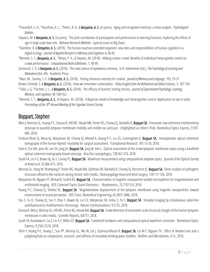\*Fraundorf, S. H., \*Hourihan, K. L., \*Peters, R. A., & Benjamin, A. S. (in press). Aging and recognition memory: a meta-analysis. *Psychological Bulletin*.

- Steyvers, M. & Benjamin, A. S. (in press). The joint contribution of participation and performance to learning functions: Exploring the effects of age in large-scale data sets. *Behavior Research Methods*. (special issue on Big Data)
- \*Hamilton, K. & Benjamin, A. S. (2019). The human-machine extended organism: new roles and responsibilities of human cognition in a digital ecology. *Journal of Applied Research in Memory and Cognition, 8*, 40-45.
- \*Bennett, S. T., Benjamin, A. S., \*Mistry, P. K., & Steyvers, M. (2018). Making a wiser crowd: Benefits of individual metacognitive control on crowd performance. *Computational Brain & Behavior*, 1, 90-99.
- Gronlund, S. D. & Benjamin, A. S. (2018). The new science of eyewitness memory. In K. Federmeier (Ed.), *The Psychology of Learning and Motivation* (Vol. 69). Academic Press.
- \*Akan, M., Stanley, S. E. & Benjamin, A. S. (2018). Testing enhances memory for context. *Journal of Memory and Language*, 103, 19-27.
- Brown-Schmidt, S. & Benjamin, A. S. (2018). How we remember conversation. *Policy Insights from the Behavioral and Brain Sciences*, 5, 187-194.
- \*Tullis, J. G, \*Fiechter, J. L., & Benjamin, A. S. (2018). The efficacy of learners' testing choices. *Journal of Experimental Psychology: Learning, Memory, and Cognition*, *44*, 540-552.
- \*Bennett, S. T., Benjamin, A. S., & Steyvers, M. (2018). A Bayesian model of knowledge and metacognitive control: Applications to opt-in tasks. *Proceedings of the 39th Annual Meeting of the Cognitive Science Society*.

#### <span id="page-5-0"></span>Boppart, Stephen

- Won J, Monroy GL, Huang P-C, Dsouza R, Hill MC, Novak MA, Porter RG, Chaney EJ, Barkalifa R, Boppart SA. Pneumatic low-coherence interferometry otoscope to quantify tympanic membrane mobility and middle ear pressure. (Highlighted as Editor's Pick) Biomedical Optics Express, 9:397- 409, 2018.
- Erickson-Bhatt SJ, Mesa KJ, Marjanovic M, Chaney EJ, Ahmad A, Huang P-C, Liu ZG, Cunningham K, Boppart SA. Intraoperative optical coherence tomography of the human thyroid: Feasibility for surgical assessment. Translational Research, 195:13-24, 2018.
- Park K, Cho NH, Jeon M, Lee SH, Jang JH, Boppart SA, Jung W, Kim J. Optical assessment of the *invivo* tympanic membrane status using a handheld optical coherence tomography-based otoscope. Acta Oto-Laryngologica, 138:367-374, 2018.
- South FA, Liu Y-Z, Bower AJ, Xu Y, Carney PS, Boppart SA. Wavefront measurement using computational adaptive optics. Journal of the Optical Soceity of America A, 35:466-473, 2018.
- Monroy GL, Hong W, Khampang P, Porter RG, Novak MA, Spillman DR, Barkalifa R, Chaney EJ, Kerschner JE, Boppart SA. Direct analysis of pathogenic structures affixed to the eardrum during chronic otitis media. Otolaryngology-Head and Neck Surgery, 159:117-126, 2018.
- Marjanovic M, Nguyen FT, Ahmad A, Suslick KS, **Boppart SA**. Characterization of magnetic nanoparticle-seeded microspheres for magnetomotive and multimodal imaging. IEEE J Selected Topics Quant Electronics – Biophotonics, 25:7101314, 2018.
- Huang P-C, Chaney EJ, Shelton RL, **Boppart SA.** Magnetomotive displacement of the tympanic membrane using magnetic nanoparticles: toward enhancement of sound perception. IEEE Trans. Biomedical Engineering, 65:2837-2846, 2018.
- You S, Tu H, Chaney EJ, Sun Y, Zhao Y, Bower AJ, Liu Y-Z, Marjanovic M, Sinha S, Pu Y, Boppart SA. Intravital imaging by simultaneous label-free autofluorescence multiharmonic microscopy. Nature Communications, 9:2125, 2018.
- Dsouza R, Won J, Monroy GL, Hill MC, Porter RG, Novak MA, Boppart SA. *In vivo* detection of nanometer-scale structural changes of the human tympanic membrane in otitis media. Scientific Reports, 8:8777, 2018.
- South FA, Kurokawa K, Liu Z, Liu Y-Z, Miller DT, Boppart SA. Combined hardware and computational optical wavefront correction. Biomedical Optics Express, 9:2562-2574, 2018.
- Shen Y, Huang P-C, Huang C, Sun PP, Monroy GL, Wu W, Lin J, Espinosa-Marzal R, Boppart SA, Liu W-T, Nguyen TH. Effect of divalent ions and a polyphosphate on composition, structure, and stiffness of simulated drinking water biofilms. Biofilms and Microbiome, 4:15, 2018.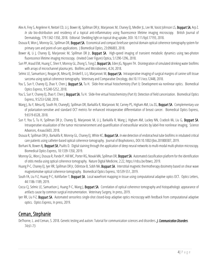- Alex A, Frey S, Angelene H, Neitzel CD, Li J, Bower AJ, Spillman DR Jr, Marjanovic M, Chaney EJ, Medler JL, Lee W, Vasist Johnson LS, Boppart SA, Arp Z. *In situ* bio-distribution and residency of a topical anti-inflammatory using fluorescence lifetime imaging microscopy. British Journal of Dermatology, 179:1342-1350, 2018. Editorial: Shedding light on topical drug uptake, DOI: 10.111/bjd.17193, 2018.
- Dsouza R, Won J, Monroy GL, Spillman DR, Boppart SA. Economical and compact briefcase spectral domain optical coherence tomography system for primary care and point-of-care applications. J Biomedical Optics, 23:096003, 2018.
- Bower AJ, Li J, Chaney EJ, Marjanovic M, Spillman DR Jr, Boppart SA. High-speed imaging of transient metabolic dynamics using two-photon fluorescence lifetime imaging microscopy. (Invited Cover Figure) Optica, 5:1290-1296, 2018.
- Sun PP, Araud EM, Huang C, Shen Y, Monroy GL, Zhong S, Tong Z, Boppart SA, Eden JG, Nguyen TH. Disintegration of simulated drinking water biofilms with arrays of microchannel plasma jets. Biofilms and Microbiomes, 4:24, 2018.
- Selmic LE, Samuelson J, Reagan JK, Mesa KJ, Driskell E, Li J, Marjanovic M, Boppart SA. Intraoperative imaging of surgical margins of canine soft tissue sarcoma using optical coherence tomography. Veterinary and Comparative Oncology, doi:10.111/vco.12448, 2018.
- You S, Sun Y, Chaney EJ, Zhao Y, Chen J, Boppart SA, Tu H. Slide-free virtual histochemistry (Part I): Development via nonlinear optics. Biomedical Optics Express, 9:5240-5252, 2018.
- You S, Sun Y, Chaney EJ, Zhao Y, Chen J, Boppart SA, Tu H. Slide-free virtual histochemistry (Part II): Detection of field cancerization. Biomedical Optics Express, 9:5253-5268, 2018.
- Wang J, Xu Y, Mesa KJ, South FA, ChaneyEJ, Spillman DR, Barkalifa R, Marjanovic M, Carney PS, Higham AM, Liu ZG, Boppart SA. Complementary use of polarization-sensitive and standard OCT metrics for enhanced intraoperative differentiation of breast cancer. Biomedical Optics Express, 9:6519-6528, 2018.
- Sun Y, You S, Tu H, Spillman DR Jr, Chaney EJ, Marjanovic M, Li J, Barkalifa R, Wang J, Higham AM, Luckey NN, Cradock KA, Liu G, Boppart SA. Intraoperative visualization of the tumor microenvironment and quantification of extracellular vesicles by label-free nonlinear imaging. Science Advances, 4:eaau5603, 2018.
- Dsouza R, Spillman DR Jr, Barkalifa R, Monroy GL, Chaney EJ, White KC, Boppart SA. *In vivo* detection of endotracheal tube biofilms in intubated critical care patients using catheter-based optical coherence tomography. Journal of Biophotonics, DOI:10.1002/jbio.201800307, 2019.
- Borhani N, Bower AJ, **Boppart SA**, Psaltis D. Digital staining through the application of deep neural networks to multi-modal multi-photon microscopy. Biomedical Optics Express, 10:1339-1350, 2019.
- Monroy GL, Won J, Dsouza R, Pande P, Hill MC, Porter RG, Novak MA, Spillman DR, Boppart SA. Automated classification platform for the identification of otitis media using optical coherence tomography. Nature Digital Medicine, 2:22, https://rdcu.be/btwrz, 2019.
- Huang P-C, Chaney EJ, Iyer RR, Spillman DR Jr, Odintsov B, Sobh NA, **Boppart SA**. Interstitial magnetic thermotherapy dosimetry based on shear wave magnetomotive optical coherence tomography. Biomedical Optics Express, 10:539-551, 2019.
- South FA, Liu Y-Z, Huang P-C, Kohlfarber T, Boppart SA. Local wavefront mapping in tissue using computational adaptive optics OCT. Optics Letters, 44:1186-1189, 2019.
- Cocca CJ, Selmic LE, Samuelson J, Huang P-C, Wang J, Boppart SA. Correlation of optical coherence tomography and histopathologic appearance of artifacts cause by common surgical instrumentation. Veterinary Surgery, In press, 2019.
- Iyer RR, Liu Y-Z, **Boppart SA.** Automated sensorless single-shot closed-loop adaptive optics microscopy with feedback from computational adaptive optics. Optics Express, In press, 2019.

#### <span id="page-6-0"></span>Ceman, Stephanie

<span id="page-6-1"></span>DeThorne, L. and Ceman, S. 2018. Genetic testing and autism: Tutorial for communication sciences and disorders. *J. Communication Disorders*. 74:61-73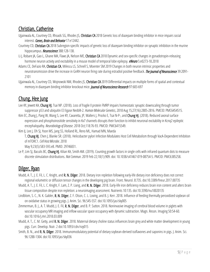# Christian, Catherine

- Ujjainwala AL, Courtney CD, Rhoads SG, Rhodes JS, Christian CA 2018 Genetic loss of diazepam binding inhibitor in mice impairs social interest. *Genes, Brain and Behavior* 17:e12442.
- Courtney CD, Christian CA 2018 Subregion-specific impacts of genetic loss of diazepam binding inhibitor on synaptic inhibition in the murine hippocampus. *Neuroscience* 388:128-138.
- Li J, Robare JA, Gao L, Ghane MA, Flaws JA, Nelson ME, Christian CA 2018 Dynamic and sex-specific changes in gonadotropin-releasing hormone neuron activity and excitability in a mouse model of temporal lobe epilepsy. *eNeuro* 5:e0273-18.2018
- Adams CE, DeFazio RA, Christian CA, Milescu LS, Schnell S, Moenter SM 2019 Changes in both neuron intrinsic properties and neurotransmission drive the increase in GnRH neuron firing rate during estradiol positive feedback. *The Journal of Neuroscience* 39:2091- 2101
- Ujjainwala AL, Courtney CD, Wojnowski NM, Rhodes JS, Christian CA 2019 Differential impacts on multiple forms of spatial and contextual memory in diazepam binding inhibitor knockout mice. *Journal of Neuroscience Research* 97:683-697

# <span id="page-7-0"></span>Chung, Hee Jung

- Lee KY, Jewett KA, Chung HJ, Tsai NP. (2018). Loss of fragile X protein FMRP impairs homeostatic synaptic downscaling through tumor suppressor p53 and ubiquitin E3 ligase Nedd4-2. *Human Molecular Genetics*, 2018 Aug 15;27(16):2805-2816. PMCID: PMC6454515.
- Kim EC, Zhang J, Pang W, Wang S, Lee KY, Cavaretta, JP, Walters J, Procko E, Tsai N-P-, and Chung HJ. (2018). Reduced axonal surface expression and phosphoinositide sensitivity in Kv7 channels disrupts their function to inhibit neuronal excitability in Kcnq2 epileptic encephalopathy. *Neurobiologyof Disease*. 2018 Oct;118:76-93. PMCID: PMC6415549.

Kim IJ, Lee J, Oh SJ, Yoon MS, Jang SS, Holland RL, Reno ML, Hamad MN, Maeda

T, Chung HJ, Chen J, Blanke SR. (2018). Helicobacter pylori Infection Modulates Host Cell Metabolism through VacA-Dependent Inhibition of mTORC1. *Cell Host Microbe*. 2018

May 9;23(5):583-593.e8. PMID: 29746831.

Le P, Lim SJ, Baculis BC, Chung HJ, Kilian KA, Smith AM. (2019). Counting growth factors in single cells with infrared quantum dots to measure discrete stimulation distributions. *Nat Commun*. 2019 Feb 22;10(1):909. doi: 10.1038/s41467-019-08754-5. PMCID: PMC6385258.

# <span id="page-7-1"></span>Dilger, Ryan

- Mudd, A. T., J. E. Fil, L. C. Knight, and R. N. Dilger. 2018. Dietary iron repletion following early-life dietary iron deficiency does not correct regional volumetric or diffusion tensor changes in the developing pig brain. Front. Neurol. 8:735. doi:10.3389/fneur.2017.00735
- Mudd, A. T., J. E. Fil, L. C. Knight, F. Lam, Z. P. Liang, and R. N. Dilger. 2018. Early-life iron deficiency reduces brain iron content and alters brain tissue composition despite iron repletion: a neuroimaging assessment. Nutrients 10:135. doi:10.3390/nu10020135
- Lindblom, S. C., N. K. Gabler, R. N. Dilger, Z. F. Olson, C. L. Loving, and B. J. Kerr. 2018. Influence of feeding thermally peroxidized soybean oil on oxidative status in growing pigs. J. Anim. Sci. 96:545-557. doi:10.1093/jas/sky005
- Zimmerman, B. I., A. T. Mudd, J. E. Fil, R. N. Dilger, and B. P. Sutton. 2018. Noninvasive imaging of cerebral blood volume in piglets with vascular occupancy MR imaging and inflow vascular space occupancy with dynamic subtraction. Magn. Reson. Imaging 50:54-60. doi:10.1016/j.mri.2018.03.009
- Mudd, A. T., C. M. Getty, and R. N. Dilger. 2018. Maternal dietary choline status influences brain grey and white matter development in young pigs. Curr. Develop. Nutr. 2 doi:10.1093/cdn/nzy015
- Smith, B. N., and R. N. Dilger. 2018. Immunomodulatory potential of dietary soybean-derived isoflavones and saponins in pigs. J. Anim. Sci. 96:1288-1304. doi:10.1093/jas/sky036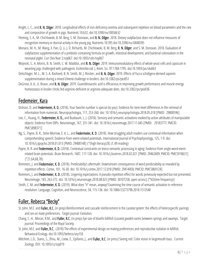- Knight, L. C., and R. N. Dilger. 2018. Longitudinal effects of iron deficiency anemia and subsequent repletion on blood parameters and the rate and composition of growth in pigs. Nutrients 10:632. doi:10.3390/nu10050632
- Fleming, S. A., M. Chichlowski, B. M. Berg, S. M. Donovan, and R. N. Dilger. 2018. Dietary sialyllactose does not influence measures of recognition memory or diurnal activity in the young pig. Nutrients 10:395 doi:10.3390/nu10040395
- Monaco, M. H., M. Wang, X. Pan, Q. Li, J. D. Richards, M. Chichlowski, B. M. Berg, R. N. Dilger, and S. M. Donovan. 2018. Evaluation of sialyllactose supplementation of a prebiotic-containing formula on growth, intestinal development, and bacterial colonization in the neonatal piglet. Curr Dev Nutr 2:nzy067. doi:10.1093/cdn/nzy067
- Wojnicki, S., A. Morris, B. N. Smith, C. W. Maddox, and R. N. Dilger. 2019. Immunomodulatory effects of whole yeast cells and capsicum in weanling pigs challenged with pathogenic *Escherichia coli*. J. Anim. Sci. 97:1784-1795. doi:10.1093/jas/skz063
- Oelschlager, M. L., M. S. A. Rasheed, B. N. Smith, M. J. Rincker, and R. N. Dilger. 2019. Effects of Yucca schidigera-derived saponin supplementation during a mixed *Eimeria*challenge in broilers. doi:10.3382/ps/pez051
- DeGroot, A. A., U. Braun, and R. N. Dilger. 2019. Guanidinoacetic acid is efficacious in improving growth performance and muscle energy homeostasis in broiler chicks fed arginine-deficient or arginine-adequate diets. doi:10.3382/ps/pez036

## <span id="page-8-0"></span>Fedemeier, Kara

- Dickson, D. and Federmeier, K. D. (2018). Your favorite number is special (to you): Evidence for item-level differences in the retrieval of information from numerals. Neuropsychologia, 117, 253-260. doi: 10.1016/j.neuropsychologia.2018.05.018 [PMID: 29800596]
- Lee, C., Huang, H., Federmeier, K. D., and Buxbaum, L. J. (2018). Sensory and semantic activations evoked by action attributes of manipulable objects: Evidence from ERPs. Neuroimage, 167, 331-341. doi: 10.1016/j.neuroimage.2017.11.045 [PMID: 29183777; PMCID: PMC5898371]
- Ng, S., Payne, B. R., Stine-Morrow, E. A. L., and Federmeier, K. D. (2018). How struggling adult readers use contextual information when comprehending speech: Evidence from event-related potentials. International Journal of Psychophysiology, 125, 1-9. doi: 10.1016/j.ijpsycho.2018.01.013 [PMID: 29408148] {\*(high literacy)28; cf. 89 reading}
- Payne, B. R. and Federmeier, K. D. (2018). Contextual constraints on lexico-semantic processing in aging: Evidence from single-word eventrelated brain potentials. Brain Research, 1687, 117-128. doi: 10.1016/j.brainres.2018.02.021 [PMID: 29462609; PMCID: PMC5918631] {\*21,64,68,78}
- Rommers, J. and Federmeier, K. D. (2018). Predictabilty's aftermath: Downstream consequences of word predictability as revealed by repetition effects. Cortex, 101, 16-30. doi: 10.1016/j.cortex.2017.12.018 [PMID: 29414458; PMCID: PMC5869124]
- Rommers, J. and Federmeier, K. D. (2018). Lingering expectations: A pseudo-repetition effect for words previously expected but not presented. Neuroimage, 183, 263-272. doi: 10.1016/j.neuroimage.2018.08.023 [PMID: 30107258; open access] {\*92(time frequency)}
- Smith, C. M. and Federmeier, K. D. (2019). What does "it" mean, anyway? Examining the time course of semantic activation in reference resolution. Language, Cognition, and Neuroscience, 34, 115-136. doi: 10.1080/23273798.2018.1513540

# <span id="page-8-1"></span>Fuller, Rebecca "Becky"

- St. John, M.E.and Fuller, R.C. (in prep) Reinforcement and cascade reinforcement in the *Lucania* system: the effects of heterospecific pairings and sex on mate preferences. Target journal: Evolution.
- Chang, C.-H., Moran, R.M., and Fuller, R.C. (in prep) Eye size of bluefin killifish (*Lucania goodei*) varies between springs and swamps. Target journal: Proceedings of the Royal Society.
- St. John, M.E. and **Fuller, R.C.** (2018) The effects of experimental design on mating preferences and reproductive isolation in killifish. Behavioral Ecology. doi:10.1093/beheco/ary150
- Mitchem, L.D., Stanis, S., Zhou, M., Loew, E., Epifanio, J., and Fuller, R.C. (in press) Seeing red: Color vision in largemouth bass. Current Zoology. DOI: 10.1093/cz/zoy019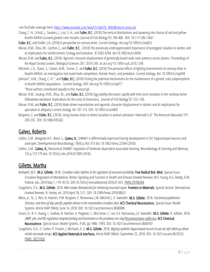-see YouTube coverage here[: https://www.youtube.com/watch?v=0pA7b\\_YkXls&feature=youtu.be](https://www.youtube.com/watch?v=0pA7b_YkXls&feature=youtu.be)

- Chang, C.-H., Schult, J., Sanders, J., Liui, S.-H., and Fuller, R.C. (2018) The vertical distributions and spawning site choices of red and yellow bluefin killifish (*Lucaniagoodei*) color morphs. Journal of Fish Biology 93: 396-400. DOI: 10.1111/jfb.13661
- Fuller, R.C. and Endler, J.A. (2018) A perspective on sensory drive. Current Zoology. doi.org/10.1093/cz/zoy052
- Moran, R.M., Zhou, M., Catchen, J., and **Fuller, R.C.** (2018) The previously underappreciated importance of postzygotic isolation in darters and its implications for reinforcement. Ecology and Evolution. 8: 9282-9294. doi:10.1002/ece3.4434
- Moran, R.M. and Fuller, R.C. (2018) Agonistic character displacement of genetically based male color patterns across darters. Proceedings of the Royal Society London, Biological Sciences 285: 20181248. dx.doi.org/10.1098/rspb.2018.1248
- Mitchem, L.D., Stanis, S., Sutton, N.M., Turner, Z., and **Fuller, R.C.** (2018) The pervasive effects of lighting environments on sensory drive in bluefin killifish: an investigation into male/male competition, female choice, and predation. Current Zoology. doi: 10.1093/cz/zoy038
- Johnson\*, A.M., Chang, C.-H.\*, and Fuller, R.C. (2018) Testing the potential mechanisms for the maintenance of a genetic color polymorphism in bluefin killifish populations. Current Zoology. DOI: doi.org/10.1093/cz/zoy017

\*these authors contributed equally to this manuscript.

- Moran, R.M., Soukup, R.M., Zhou, M., and **Fuller, R.C.** (2018) Egg viability decreases rapidly with time since ovulation in the rainbow darter *Etheostoma caeruleum*: implications for the costs of choosiness. Journal of Fish Biology 92: 532–536.
- Moran, R.M, and Fuller, R.C. (2018) Male-driven reproductive and agonistic character displacement in darters and its implications for speciation in allopatry Current Zoology. 64: 101-113. DOI: 10.1093/cz/zox069
- Bergeron, Z. and Fuller, R.C. (2018). Using human vision to detect variation in animal coloration: How bad is it? The American Naturalist 191: 269-276. DOI: 10.1086/695282

#### <span id="page-9-0"></span>Galvez, Roberto

- Collins, S.M., Belagodu A.P., Reed, S., Galvez, R., SHANK1 is differentially expressed during development in CA1 hippocampal neurons and astrocytes. Developmental Neurobiology, 78(4) p.363-373 doi: 10.1002/dneu.22564 (2018).
- Collins, S.M., Galvez, R., Neocortical SHANK1 regulation of forebrain dependent associative learning. Neurobiology of Learning and Memory, 155 p.173-179 doi: 10.1016/j.nlm.2018.07.009 (2018).

## <span id="page-9-1"></span>Gillette, Martha

- Bothwell, M.Y., **M.U. Gillette**. 2018. *Circadian redox rhythms in the regulation of neuronal excitability.* Free Radical Biol. Med. Special Issue: Circadian Regulation of Metabolism, Redox Signaling and Function in Health and Disease (Invited Review). M.E. Young, A.G. Reddy, D.M. Pollock, eds. 2018 May 1; 119: 45-55. DOI:10.1016/j.freeradbiomed.2018.01.025. PMID:29398284
- Cangellaris, O.V., **M.U. Gillette**. 2018. *Mini review: Biomaterials for enhancing neuronal repair.* Frontiers in Materials. Special Section: Biomaterials (Invited Review). B. Harley, ed. 2018 April 18; 5:21. DOI: 10.3389/fmats.2018.00021
- Atkins, Jr., N., S. Ren, N. Hatcher, P.W. Burgoon, E. Romanova, J.W. Mitchell, J. V. Sweedler, M.U. Gillette. 2018. *Functional peptidomics: Stimulus-and time-of-day-specific peptide release in the mammalian circadian clock*. ACS Chemical Neuroscience. Special Issue: Model Systems. Article ASAP (Web): June 14, 2018. DOI: 10.1021/acschemneuro.8b00089*.*
- Green, D., R.-C. Huang, L. Sudlow, N. Hatcher, K. Potgieter, C. McCrohan, C. Lee, E.V. Romanova, J.V. Sweedler, M.U. Gillette, R. Gillette. 2018. *cAMP, pHi, and NO regulation integrate feeding and locomotion in the predatory sea-slug Pleurobranchaea californica*. ACS Chemical Neuroscience. Special Issue: Model Systems, 9 (8), pp 1986–1993. DOI: 10.1021/acschemneuro.8b00187
- Cangellaris, O.V., E. Corbin, P. Froeter, J. Michaels, X. Li, M.U. Gillette. 2018. *Aligning synthetic hippocampal neural circuits via self-rolled-up silicon nitride microtube arrays*. ACS Applied Materials & Interfaces, Article ASAP (Web): September 25, 2018. DOI: 10.1021/acsami.8b10233. PMID: 30251826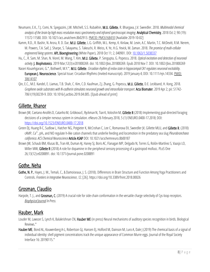- Neumann, E.K., T.J. Comi, N. Spegazzini, J.W. Mitchell, S.S. Rubakhin, M.U. Gillette, R. Bhargava, J.V. Sweedler. 2018. *Multimodal chemical analysis of the brain by high mass resolution mass spectrometry and infrared spectroscopic imaging*. Analytical Chemistry, 2018 Oct 2; 90 (19): 11572-11580. DOI: 10.1021/acs.analchem.8b02913. PMCID: PMC6168410 [Available 2019-10-02]
- Kamm, R.D., R. Bashir, N. Arora, R. D. Dar, M.U. Gillette, L.G. Griffith, M.L. Kemp, K. Kinlaw, M. Levin, A.C. Martin, T.C. McDevitt, R.M. Nerem, M. Powers, T.A. Saif, J. Sharpe, S. Takayama, S. Takeuchi, R. Weiss, K. Ye, H.G. Yevick, M. Zaman. 2018. *The promise of multi-cellular engineered living systems*. APL Bioengineering (White Paper), 2018 Oct 11; 2, 040901. DOI: [10.1063/1.5038337](https://doi.org/10.1063/1.5038337)
- Hu, C., R. Sam, M. Shan, N. Viorel, M. Wang, T. Kim, M.U. Gillette, P. Sengupta, G. Popescu. 2018. *Optical excitation and detection of neuronal activity*. J. Biophotonics. 2019 Mar;12(3):e201800269. doi: 10.1002/jbio.201800269. Epub 2018 Nov 7. DOI: 10.1002/jbio.201800269
- Naseri Kouzehgarani, G.\*, Bothwell, M.Y.\*, M.U. Gillette. *Circadian rhythm of redox state in hippocampal CA1 regulates neuronal excitability*. European J. Neuroscience. Special Issue: Circadian Rhythms (Invited manuscript). 2019 January 4; DOI: 10.1111/ejn.14334. PMID: 30614107
- Qin, E.C., M.E. Kandel, E. Liamas, T.B. Shah, C. Kim, C.D. Kaufman, Z.J. Zhang, G. Popescu, M.U. Gillette, D.E. Leckband, H. Kong, 2018. *Graphene oxide substrates with N-cadherin stimulates neuronal growth and intracellular transport*. Acta Biomater. 2019 Apr 2; pii: S1742- 7061(19)30239-9. DOI: 10.1016/j.actbio.2019.04.005. [Epub ahead of print]

## <span id="page-10-0"></span>Gillette, Rhanor

- Brown JW, Caetano-Anollés D, Catanho M, Gribkova E, Ryckman N, Tian K, Voloshin M, Gillette R (2018) Implementing goal-directed foraging decisions of a simpler nervous system in simulation. eNeuro 26 February 2018, 5 (1) ENEURO.0400-17.2018; DOI: <https://doi.org/10.1523/ENEURO.0400-17.2018>
- Green DJ, Huang R-C, Sudlow L, Hatcher NG, Potgieter K, McCrohan C, Lee C, Romanova EV, Sweedler JV, Gillette MLU, and Gillette R. (2018) cAMP, Ca2+, pHi, and NO regulate h-like cation channels that underlie feeding and locomotion in the predatory sea slug *Pleurobranchaea californica. ACS Chemical Neuroscience*Article ASAP DOI: 10.1021/acschemneuro.8b00187
- Brown JW, Schaub BM, Klusas BL, Tran AX, Duman AJ, Haney SJ, Boris AC, Flanagan MP, Delgado N, Torres G, Rolón-Martínez S, Vaasjo LO, Miller MW, Gillette R (2018) A role for dopamine in the peripheral sensory processing of a gastropod mollusc. PLoS One 26;13(12):e0208891. doi: 10.1371/journal.pone.0208891

# <span id="page-10-1"></span>Gothe, Neha

Gothe, N. P., Hayes, J. M., Temali, C., & Damoiseaux, J. S. (2018). Differences in Brain Structure and Function Among Yoga Practitioners and Controls. *Frontiers in Integrative Neuroscience*, *12*, [26]. https://doi.org/10.3389/fnint.2018.00026

# <span id="page-10-2"></span>Grosman, Claudiio

Harpole, T. J., and Grosman, C. (2019) A crucial role for side-chain conformation in the versatile charge selectivity of Cys-loop receptors. *Biophysical Journal In Press*.

## <span id="page-10-3"></span>Hauber, Mark

- Louder M, Lawson S, Lynch K, Balakrishnan CN, Hauber ME (in press) Neural mechanisms of auditory species recognition in birds. Biological Reviews.\*
- Hauber ME, Bond AL, Kouwenberg A-L, Robertson GJ, Hansen EJ, Holford M, Dainson M, Luro A, Dale J (2019) The chemical basis of a signal of individual identity: shell pigment concentrations track the unique appearance of Common Murre eggs. Journal of the Royal Society Interface 16: 20190115.\*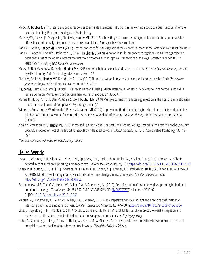- Moskat C, Hauber ME (in press) Sex-specific responses to simulated territorial intrusions in the common cuckoo: a dual function of female acoustic signaling. Behavioral Ecology and Sociobiology.
- Mackay JWB, Russell JC, Murphy EC, Clout MN, Hauber ME (2019) See how they run: increased ranging behavior counters potential Allee effects in experimentally introduced house mice on an island. Biological Invasions (online).\*

Hanley D, Gern K, Hauber ME, Grim T (2019) Host responses to foreign eggs across the avian visual color space. American Naturalist (online).\*

- Hanley D, Lopez AV, Fiorini VD, Reboreda JC, Grim T, Hauber ME (2019) Variation in multicomponent recognition cues alters egg rejection decisions: a test of the optimal acceptance threshold hypothesis. Philosophical Transactions of the Royal Society of London B 374: 20180195.\* (*Faculty of 1000 Prime Recommended*).
- Moskat C, Ban M, Fulop A, Bereczki J, Hauber ME (2019) Bimodal habitat use in brood parasitic Common Cuckoos (*Cuculus canorus*) revealed by GPS telemetry. Auk: Ornithological Advances 136: 1-12.
- Rivera M, Cealie M, Hauber ME, Kleindorfer S, Liu W (2019) Neural activation in response to conspecific songs in zebra finch (*Taeniopygia guttata*) embryos and nestlings. NeuroReport 30:217–221.\*
- Hauber ME, Luro A, McCarty CJ, Barateli K, Cassey P, Hansen E, Dale J (2019) Interannual repeatability of eggshell phenotype in individual female Common Murres (*Uria aalge*). Canadian Journal of Zoology 97: 385-391.\*
- Manna TJ, Moskat C, Ton L, Ban M, Aidala Z, Low J, Hauber ME (2019) Multiple parasitism reduces egg rejection in the host of a mimetic avian brood parasite. Journal of Comparative Psychology (online).\*
- Withers S, Armstrong D, Ward-Smith T, Parsons S, Hauber ME (2019) Improved methods for reducing translocation mortality and obtaining reliable population projections for reintroduction of the New Zealand rifleman (*Acanthisitta chloris*). Bird Conservation International (online).\*
- Aidala Z, Strausberger B, Hauber ME (2019) Increased Egg-Nest Visual Contrast Does Not Induce Egg Ejection in the Eastern Phoebe (*Sayornis phoebe*)*,*an Accepter Host of the Brood Parasitic Brown-Headed Cowbird (*Molothrus ater*). Journal of Comparative Psychology 133: 46– 55.\*

*\*Articles coauthored with advised students and postdocs.*

## <span id="page-11-0"></span>Heller, Wendy

- Popov, T., Westner, B. U.,Silton, R. L., Sass, S. M., Spielberg, J. M., Rockstroh, B., Heller, W., & Miller, G. A. (2018). Time course of brain network reconfiguration supporting inhibitory control. *Journal of Neuroscience, 10*, DOI[: https://doi.org/10.1523/JNEUROSCI.2639-17.2018](https://doi.org/10.1523/JNEUROSCI.2639-17.2018)
- Sharp, P. B., Sutton, B. P., Paul, E. J., Sherepa, N., Hillman, C. H., Cohen, N. J., Kramer, A. F., Prakash, R., Heller, W., Telzer, E. H., & Barbey, A. K. (2018). Mindfulness training induces structural connectome changes in insula networks. *Scientific Reports*, *8*, 7929. <https://doi.org/10.1038/s41598-018-26268-w>*.*
- Bartholomew, M.E., Yee, C.M., Heller, W., Miller, G.A., & Spielberg, J.M. (2019). Reconfiguration of brain networks supporting inhibition of emotional challenge. *NeuroImage, 186,* 350-357*.* PMID:30394327PMCID[:PMC6372757\[](https://www.ncbi.nlm.nih.gov/pmc/articles/PMC6372757/)Available on 2020-02- 01]DOI[:10.1016/j.neuroimage.2018.10.066](https://doi.org/10.1016/j.neuroimage.2018.10.066)
- Madian, N., Bredemeier, K., Heller, W., Miller, G. A., & Warren, S. L. (2019). Repetitive negative thought and executive dysfunction: An interactive pathway to emotional distress. *Cognitive Therapy and Research*, *43*, 464-480[. https://doi.org/10.1007/s10608-018-9966-x](https://doi.org/10.1007/s10608-018-9966-x)
- Lake, J. I., Spielberg, J. M., Infantolino, Z. P., Crocker, L. D., Yee, C. M., Heller, W. and Miller, G. M. (In press). Reward anticipation and punishment anticipation are instantiated in the brain via opponent mechanisms. *Psychophysiology*.
- <span id="page-11-1"></span>Guha, A., Spielberg, J., Lake, J., Popov, T., Heller, W., Yee, C. M., & Miller, G. A. (In press). Effective connectivity between Broca's area and amygdala as a mechanism of top-down control in worry. *Clinical Psychological Science*.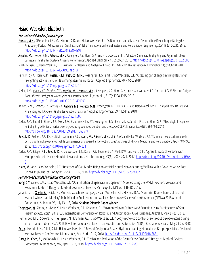#### Hsiao-Wecksler, Elizabeth

#### *Peer-reviewed Published Journal Papers*

- Petrucci, M.N., DiBerardino, L.A., MacKinnon, C.D. and Hsiao-Wecksler, E.T. "A Neuromechanical Model of Reduced Dorsiflexor Torque During the Anticipatory Postural Adjustments of Gait Initiation", IEEE Transactions on Neural Systems and Rehabilitation Engineering, 26(11):2210-2216, 2018. <https://doi.org/10.1109/TNSRE.2018.2874991>
- Angelini, M.J., Kesler, R.M., Petrucci, M.N., Rosengren, K.S., Horn, G.P., and Hsiao-Wecksler, E.T. "Effects of Simulated Firefighting and Asymmetric Load Carriage on Firefighter Obstacle Crossing Performance", Applied Ergonomics, 70: 59-67, 2018.<https://doi.org/10.1016/j.apergo.2018.02.006>
- Singh, G., **Xiao, C.,** Hsiao-Wecksler, E.T., Krishnan, G. "Design and Analysis of Coiled FREE Actuator", Bioinspiration & Biomimetics, 13(3): 036010, 2018. <https://doi.org/10.1088/1748-3190/aab19c>
- Park, K., Sy. L., Horn, G.P., Kesler, R.M., Petrucci, M.N., Rosengren, K.S., and Hsiao-Wecksler, E.T. "Assessing gait changes in firefighters after firefighting activities and while carrying asymmetric loads", Applied Ergonomics, 70: 44-50, 2018. <https://doi.org/10.1016/j.apergo.2018.01.016>
- Kesler, R.M., *Bradley, F.F., Deetjen, G.S., Angelini, M.I., Petrucci, M.N.*, Rosengren, K.S., Horn, G.P., and Hsiao-Wecksler, E.T. "Impact of SCBA Size and Fatigue from Different Firefighting Work Cycles on Firefighter Gait", Ergonomics, 61(9): 1208-1215, 2018. <https://doi.org/10.1080/00140139.2018.1450999>
- Kesler, R.M., *Deetjen, G.S., Bradley, F.F.*, *Angelini, M.J., Petrucci, M.N.*, Rosengren, K.S., Horn, G.P., and Hsiao-Wecksler, E.T. "Impact of SCBA Size and Firefighting Work Cycle on Firefighter Functional Balance", Applied Ergonomics, 69: 112-119, 2018. <https://doi.org/10.1016/j.apergo.2018.01.006>
- Kesler, R.M., Ensari, I., Klaren, R.E., Motl, R.W., Hsiao-Wecksler, E.T., Rosengren, K.S., Fernhall, B., Smith, D.L., and Horn, G.P., "Physiological response to firefighting activities of various work cycles using extended duration and prototype SCBA", Ergonomics, 61(3): 390-403, 2018. <http://dx.doi.org/10.1080/00140139.2017.1360519>
- Boes, M.K., Bollaert, R.E., Kesler, R.M., Learmonth, Y.C., Islam, M., Petrucci, M.N., Motl, R.W., and Hsiao-Wecksler, E.T. "Six-minute walk performance in persons with multiple sclerosis while using passive or powered ankle-foot orthoses", Archives of Physical Medicine and Rehabilitation, 99(3): 484-490, 2018. <https://doi.org/10.1016/j.apmr.2017.06.024>
- Kesler, R.M., Klieger, A.E., **Boes, M.K.**, Hsiao-Wecksler, E.T., Klaren, R.E., Learmonth, Y., Motl, R.W., and Horn, G.P., "Egress Efficacy of Persons with Multiple Sclerosis During Simulated Evacuations", Fire Technology, 53(6): 2007-2021, 2017[. http://dx.doi.org/10.1007/s10694-017-0668-](http://dx.doi.org/10.1007/s10694-017-0668-9) [9](http://dx.doi.org/10.1007/s10694-017-0668-9)
- **Islam, M.,** and Hsiao-Wecksler, E.T. "Detection of Gait Modes Using an Artificial Neural Network during Walking with a Powered Ankle-Foot Orthosis", Journal of Biophysics, 7984157: 1-9, 2016[. http://dx.doi.org/10.1155/2016/7984157](http://dx.doi.org/10.1155/2016/7984157)

#### *Peer-reviewed Extended Conference Proceeding Papers*

- Song, S.Y. Zallek, C.M., Hsiao-Wecksler, E.T. "Quantification of Spasticity in Upper-Arm Muscles Using the PVRM (Position, Velocity, and Resistance Meter)", Design of Medical Devices Conference, Minneapolis, MN, April 16-18, 2019.
- Jahanian, O., Gaglio, A., Daigle, S., Muqeet, V., Schorenberg, A.J., Hsiao-Wecksler, E.T., Slavens, B.A., "Hand-rim Biomechanics of Geared Manual Wheelchair Mobility" Rehabilitation Engineering and Assistive Technology Society of North America (RESNA) 2018 Annual Conference, Arlington, VA, July 13 - 15, 2018. Student Scientific Paper Winner.
- Thompson, N., Zhang, X., *Ayala, F*., Hsiao-Wecksler, E.T., Krishnan, G. "Augmented Joint Stiffness and Actuation using Architectures of Soft Pneumatic Actuators", 2018 IEEE International Conference on Robotics and Automation (ICRA), Brisbane, Australia, May 21-25, 2018.
- Hernandez, M E., Sowers, R., **Thompson, N**., Krishnan, G., Hsiao-Wecksler, E.T., "Body-in-the-loop control of soft robotic exoskeletons during virtual manual labor tasks", 2018 IEEE International Conference on Robotics and Automation (ICRA), Brisbane, Australia, May 21-25, 2018
- Pei, Y., Ewoldt, R.H., Zallek, C.M., Hsiao-Wecksler, E.T. "Revised Design of a Passive Hydraulic Training Simulator of Biceps Spasticity", Design of Medical Devices Conference, Minneapolis, MN, April 10-12, 2018. http://dx.doi.org/10.1115/DMD2018-6881
- Garag, P., Chen, A., McDonagh, D., Hsiao-Wecksler, E.T. "Design and Evaluation of the PosturSense Cushion", Design of Medical Devices Conference, Minneapolis, MN,April 10-12, 2018[. http://dx.doi.org/10.1115/DMD2018-6883](http://dx.doi.org/10.1115/DMD2018-6883)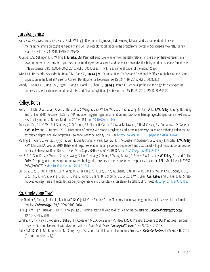## <span id="page-13-0"></span>Juraska, Janice

- Hankosky, E.R., Westbrook S.R., Haake R.M., Willing J., Raetzman LT., Juraska, J.M., Gulley J.M. Age- and sex-dependent effects of methamphetamine on cognitive flexibility and 5-HT2C receptor localization in the orbitofrontal cortex of Sprague-Dawley rats. Behav Brain Res 349:16–24, 2018. PMID: 29715538
- Kougias, D.G., Sellinger, E.P., Willing, J., Juraska, J.M. Perinatal exposure to an environmentally relevant mixture of phthalates results in a lower number of neurons and synapses in the medial prefrontal cortex and decreased cognitive flexibility in adult male and female rats. J. Neuroscience, 38(31):6864–6872, 2018. PMID: 30012688. NIEHS extramural paper of the month (Sept)
- Wise L.M., Hernández-Saavedra D., Boas S.M., Pan Y.X., Juraska J.M. Perinatal High-Fat Diet and Bisphenol A: Effects on Behavior and Gene Expression in the Medial Prefrontal Cortex. Developmental Neuroscience, Dec 21:1-16, 2018. PMID: 30580332
- Moody L., Kougias D., Jung P.M., Digan I., Hong A., Gorski A., Chen H., Juraska J., Pan Y.X. Perinatal phthalate and high-fat diet exposure induce sex-specific changes in adipocyte size and DNA methylation. J Nutr Biochem. 65:15-25, 2019. PMID: 30599393

# <span id="page-13-1"></span>Kelley, Keith

- Wen, H., H. Ma, Q Cai, S. Lin, X. Lei, B. He, S. Wu, Z. Wang, Y. Gao, W. Liu, W. Liu, Q. Tao, Z. Long, M. Yan, D. Li, K.W. Kelley, Y. Yang, H. Huang and Q. Liu. 2018. Recurrent ECSIT V140A mutation triggers hyperinflammation and promotes hemophagocytic syndrome in extranodal NK/T-cell lymphoma. Nature Medicine 24:154-164. doi: 10.1038/nm.4456
- Rodriguez-Zas, S.L., C. Wu, B.R. Southey, J.C. O'Connor, S.E. Nixon, R. Garcia, C. Zavala, M. Lawson, R.H. McCusker, E.V. Romanova, J.V. Sweedler, K.W. Kelley and R. Dantzer. 2018. Disruption of microglia histone acetylation and protein pathways in mice exhibiting inflammationassociated depression-like symptoms. Psychoneuroendocrinology 97:47-58[. https://doi.org/10.1016/j.psyneuen.2018.06.024](https://doi.org/10.1016/j.psyneuen.2018.06.024)
- Mailing, L. J. Allen, B. Pence, J. Rytych, Y. Sun, T. Bhattacharya, P. Park, T.W. Liu, R.H. McCusker, K. Swanson, G.C. Fahey, J. Rhodes, K.W. Kelley, R.W. Johnson, J.A. Woods. 2019. Behavioral response to fiber feeding is cohort-dependent and associated with gut microbiota composition in mice. Behavioural Brain Research 359:731-736.pii: S0166-4328(18)31068-4. doi: 10.1016/j.bbr.2018.09.012
- He, B, R. R. Gao, D. Lv, Y. Wen, L. Song, X. Wang, S. Lin, Q. Huang, Z. Deng, Z. Wang, M. Yan, F. Zheng, E.W.F. Lam, K.W. Kelley, Z. Li and Q. Liu. 2019. The prognostic landscape of interactive biological processes presents treatment responses in cancer. EBio Medicine pii: S2352- 3964(19)30070-2. doi: 10.1016/j.ebiom.2019.01.064.
- Cui, B., Y. Luo, P. Tian, F. Peng, J. Lu, Y. Yang, Q. Su, B. Liu, J. Yu, X. Luo, L. Yin, W. Cheng, F. An, B. He, D. Liang, S. Wu, P. Chu, L. Song, X. Liu, H. Luo, J. Xu, Y. Pan, Y. Wang, D. Li, P. Huang, Q. Yang, L. Zhang, B.P. Zhou, S. Liu, G. Xu, E.W.F. Lam, K.W. Kelley and Q. Liu. 2019. Stressinduced epinephrine enhances lactate dehydrogenase A and promotes cancer stem-like cells. J. Clin. Invest. doi.org/10.1172/JCI121685

# <span id="page-13-2"></span>Ko, CheMyong "Jay"

- Lee-Thacker S, Choi Y, Taniuchi I, Takahara T, Ko C, Jo M. Core Binding Factor  $\Box$  expression in ovarian granulosa cells is essential for female fertility. *Endocrinology*. 159(5):2094-2109. 2018.
- Park CJ, Kim H, Jin J. Barakat R, Lin PC, Choi JM, Ko C. Porcine intestinal lymphoid tissues synthesize estradiol. *Journal of Veterinary Science* 19(4):477-482, 2018.
- Barakat R, Lin P, Park CJ, Popescu G, Bakery HH, Abosalum ME, Abdelaleem NM, Flaws J, Ko C. Prenatal Exposure to DEHP Induces Neuronal Degeneration and Neurobehavioral Abnormalities in Adult Male Mice. *Toxicological Sciences* 164 (2):439-452, 2018.
- Duffy DM<sup>\*</sup>, **Ko C<sup>\*</sup>**, Jo M<sup>\*</sup>, Brannstrom M<sup>\*</sup>, Curry TE Jr<sup>\*</sup>. Ovulation: Parallels with inflammatory Processes. *Endocrine Reviews* 40(2):369-416. 2019 (\*, contributed equally)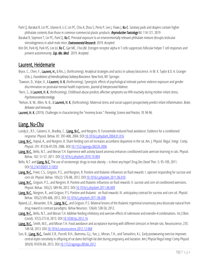- Park CJ, Barakat R, Lin PC, Ulanov A, Li Z, Lin PC, Chiu K, Zhou S, Perez P, Lee J, Flaws J, Ko C. Sanitary pads and diapers contain higher phthalate contents than those in common commercial plastic products. *Reproductive Toxicology* 84: 114-121. 2019
- Barakat R, Seymore T, Lin PC, Park CJ, Ko C. Prenatal exposure to an environmentally relevant phthalate mixture disrupts testicular steroidogenesis in adult male mice. *Environmental Research*. 2019. *Accepted.*
- Kim DH, Park HJ, Park HS, Lee JU, Ko C, Gye MC, Choi JM. Estrogen receptor alpha in T cells suppresses follicular helper T cell responses and prevent autoimmunity. *Exp. Mo. Med*. 2019. *Accepted.*

#### <span id="page-14-0"></span>Laurent, Heidemarie

- Bryce, C., Chen, F., Laurent, H., & Riis, J. (forthcoming). Analytical strategies and tactics in salivary bioscience. In M. K. Taylor & D. A. Granger (Eds.), *Foundations of Interdisciplinary Salivary Bioscience.* New York, NY: Springer.
- † Dawson, D., Volpe, V., & Laurent, H. K. (forthcoming). Synergistic effects of psychological intimate partner violence exposure and gender discrimination on postnatal mental health trajectories. *Journal of Interpersonal Violence.*
- <sup>†</sup>Kern, S., & Laurent, H. K. (forthcoming). Childhood abuse predicts affective symptoms via HPA reactivity during mother-infant stress. *Psychoneuroendocrinology.*
- † Nelson, B. W., Allen, N. B., & Laurent, H. K. (forthcoming). Maternal stress and social support prospectively predict infant inflammation.*Brain, Behavior and Immunity*.
- Laurent, H. K. (2019). Challenges in characterizing the "mommy brain." *Parenting: Science and Practice, 19,* 94-96.

#### <span id="page-14-1"></span>Liang, Nu-Chu

- Lundy Jr., R.F., Caloiero, V., Bradley, C., Liang, N-C., and Norgren, R. Furosemide-induced food avoidance: Evidence for a conditioned response. Physiol. Behav. 81: 397-408, 2004. DOI[:10.1016/j.physbeh.2004.01.016](https://doi.org/10.1016/j.physbeh.2004.01.016)
- Liang, N-C., Hajnal, A., and Norgren, R. Sham feeding corn oil increases accumbens dopamine in the rat. Am. J. Physiol. Regul. Integr. Comp. Physiol. 291: R1236-R1239, 2006. DOI[:10.1152/ajpregu.00226.2006](https://doi.org/10.1152/ajpregu.00226.2006)
- Liang, N-C., Bello, N.T., and Moran T.H. Experience with activity based anorexia enhances conditioned taste aversion learning in rats. Physiol. Behav. 102: 51-57, 2011. DO[I:10.1016/j.physbeh.2010.10.004](https://doi.org/10.1016/j.physbeh.2010.10.004)
- Bello, N.T. and Liang, N-C. The use of serotonergic drugs to treat obesity is there any hope? Drug Des Devel Ther. 5: 95-109, 2011. DO[I:10.2147/DDDT.S11859](https://doi.org/10.2147/DDDT.S11859)
- Liang, N-C., Freet, C.S., Grigson, P.S., and Norgren, R. Pontine and thalamic influences on fluid rewards: I. operant responding for sucrose and corn oil. Physiol. Behav. 105(2): 576-88, 2012. DOI: 10.1016/j.physbeh.2011.06.010
- Liang, N-C., Grigson, P.S., and Norgren, R. Pontine and thalamic influences on fluid rewards: II. sucrose and corn oil conditioned aversions. Physiol. Behav. 105(2): 589-94, 2012. DO[I:10.1016/j.physbeh.2011.06.009](https://doi.org/10.1016/j.physbeh.2011.06.009)
- Liang, N-C., Norgren, R., and Grigson, P.S. Pontine and thalamic on fluid rewards: III. anticipatory contrast for sucrose and corn oil. Physiol. Behav. 105(2):595-606, 2012. DOI:10.1016/j.physbeh.2011.06.008
- Nyland, J.E., Alexander, D.N., Liang, N-C., and Grigson, P.S. Bilateral lesions of the thalamic trigeminal orosensory area dissociate natural from drug reward in contrast paradigms. Behav Neurosci. 126(4): 538-50, 2012.
- Liang, N-C., Bello, N.T., and Moran T.H. Additive feeding inhibitory and aversive effects of naltrexone and exendin-4 combinations. Int J Obes (Lond). 37(2):272-8, 2013. DOI[:10.1038/ijo.2012.16](https://doi.org/10.1038/ijo.2012.16)
- Liang, N-C., Smith, M.E., and Moran T.H. Food avoidance and acceptance learning with different stressors in female rats. Neuroscience, 235: 149-58, 2013. DO[I:10.1016/j.neuroscience.2012.12.068](https://doi.org/10.1016/j.neuroscience.2012.12.068)
- Sun, B., Liang, N-C., Ewald, E.R., Purcell, R.H., Boersma, G.J., Yan, J., Moran, T.H., and Tamashiro, K.L. Early postweaning exercise improves central leptin sensitivity in offspring of rat dams fed high-fat diet during pregnancy and lactation. Am J Physiol Regul Integr Comp Physiol. 305(9): R1076-84, 2013. DO[I:10.1152/ajpregu.00566.2012](https://doi.org/10.1152/ajpregu.00566.2012)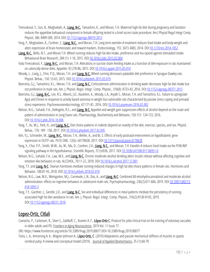- Treesukosol, Y., Sun, B., Moghadam, A., Liang, N-C., Tamashiro, K., and Moran, T.H. Maternal high-fat diet during pregnancy and lactation reduces the appetitive behavioral component in female offspring tested in a brief-access taste procedure. Am J Physiol Regul Integr Comp Physiol, 306: R499-509, 2014. DOI: 10.1152/ajpregu.00419.2013
- Yang, Y., Moghadam, A., Cordner, Z., Liang, N-C., and Moran, T.H. Long term exendin-4 treatment reduces food intake and body weight and alters expression of brain homeostatic and reward markers. Endocrinology, 155: 3473-3483, 2014. DOI[:10.1210/en.2014-1052](https://doi.org/10.1210/en.2014-1052)
- Liang, N-C., Bello, N.T., and Moran T.H. Wheel running reduces high-fat diet intake, preference and mu-opioid agonist stimulated intake. Behavioural Brain Research, 284 (1): 1-10, 2015. DO[I:10.1016/j.bbr.2015.02.004](https://doi.org/10.1016/j.bbr.2015.02.004)
- Yada Treesukosol, Y., Liang, N-C., and Moran, T.H. Alterations in sucrose sham-feeding intake as a function of diet-exposure in rats maintained on calorically-dense diets. Appetite, 92:278-86, 2015. DOI[:10.1016/j.appet.2015.05.014](https://doi.org/10.1016/j.appet.2015.05.014)
- Moody, L., Liang, J., Choi, P.Q., Moran, T.H. and Liang, N-C. Wheel running decreases palatable diet preference in Sprague-Dawley rats. Physiol. Behav., 150: 53-63, 2015. DOI[:10.1016/j.physbeh.2015.03.019](https://doi.org/10.1016/j.physbeh.2015.03.019)
- Boersma, G.J., Tamashiro, K.L., Moran, T.H. and Liang, N-C. Corticosterone administration in drinking water decreases high fat diet intake but not preference in male rats. Am. J. Physiol. Regul. Integr. Comp. Physiol., 310(8): R733-43, 2016. DO[I:10.1152/ajpregu.00371.2015](https://doi.org/10.1152/ajpregu.00371.2015)
- Boersma, G.J., Liang, N-C., Lee, R.S., Albertz, J.D., Kastelein, A., Moody, L.A., Aryalk S., Moran, T.H. and Tamashiro, K.L. Failure to upregulate Agrp and Orexin in response to activity based anorexia in weight loss vulnerable rats characterized by passive stress coping and prenatal stress experience. Psychoneuroendocrinology, 67:171-81, 2016. DOI[:10.1016/j.psyneuen.2016.02.002](https://doi.org/10.1016/j.psyneuen.2016.02.002)
- Nelson, N.G., Suhaidi, F.A., DeAngelis, R.S., and Liang, N-C. Appetite and weight gain suppression effects of alcohol depend on the route and pattern of administration in Long Evans rats. Pharmacology, Biochemistry and Behavior, 150-151: 124-133, 2016. DO[I:10.1016/j.pbb.2016.10.006](https://doi.org/10.1016/j.pbb.2016.10.006)
- Yang, T., Xu, W.J., York, H., and Liang, N-C. Diet choice patterns in rodents depend on novelty of the diet, exercise, species, and sex. Physiol. Behav., 176: 149 - 158, 2017. DOI[:10.1016/j.physbeh.2017.02.045](https://doi.org/10.1016/j.physbeh.2017.02.045)
- Kim, Y.J., Schroeder, M., Liang, N-C., Moran, T.H., Weller, A., and Bi, S. Effects of early postnatal environment on hypothalamic gene expression in OLETF rats. PLOS ONE, 12(6): e0178428, 2017. DOI: 10.1371/journal.pone.0178428
- Yang, Y., Choi, P.P., Smith, W.W., Xu, W., Ma, D., Cordner, Z.A., Liang, N-C., and Moran, T.H. Exexdin-4 reduces food intake via the PI3K/AKT signaling pathway in the hypothalamus. Scientific Reports, 7(1):6936, 2017. DO[I:10.1038/s41598-017-06951-0](https://doi.org/10.1038/s41598-017-06951-0)
- Nelson, N.G., Suhaidi, F.A., Law, W.X., and Liang, N-C. Chronic moderate alcohol drinking alters insulin release without affecting cognitive and emotion-like behaviors in rats. ALCOHOL, 70:11-22, 2018. DOI[:10.1016/j.alcohol.2017.12.001](https://doi.org/10.1016/j.alcohol.2017.12.001)
- Yang, T.Y. and Liang, N-C. Ovarian hormones mediate running-induced changes in high fat diet choice patterns in female rats. Hormones and Behavior, 100:81-93, 2018. DOI: 10.1016/j.yhbeh.2018.02.010
- Nelson, N.G., Law, W.X., Weingarten, M.J., Carnevale, L.N., Das, A., and Liang, N-C. Combined ∆9-tetrahydrocannabinol and moderate alcohol administration: effects on ingestive behaviors in adolescent male rats. Psychopharmacology, 236(2):671-684, 2019. DO[I:10.1007/s00213-](https://doi.org/10.1007/s00213-018-5093-3) [018-5093-3](https://doi.org/10.1007/s00213-018-5093-3)
- Yang, T.Y., Gardner, J., Gentile, J.D., and Liang, N-C. Sex and individual differences in meal patterns mediate the persistency of runningassociated high fat diet avoidance in rats. Am. J. Physiol. Regul. Integr. Comp. Physiol., 316(2):R130-R143, 2019. DO[I:10.1152/ajpregu.00231.2018](https://doi.org/10.1152/ajpregu.00231.2018)

#### <span id="page-15-0"></span>Lopez-Ortiz, Citlali

- Camacho, P., Carbonari, R., Shen S., Zadikoff, C., Kramer A. F., López-Ortiz C. Protocol for pilot clinical trial on the training of voluntary saccades in older adults and PD. Frontiers in Aging Neuroscience, 2019 Vol. 11 Issue 77.
- URL=https://www.frontiersin.org/article/10.3389/fnagi.2019.00077 DOI=10.3389/fnagi.2019.00077
- Tisha, L. A., Armstrong A. A., Wagner-Johnson A., López-Ortiz, C. (2019) Adaptations and passive mechanical stiffness of muscles in spastic cerebral palsy: A review and conceptual model (2019). <u>Journal of Applied Biomechanics</u>, 35 (1):68-79.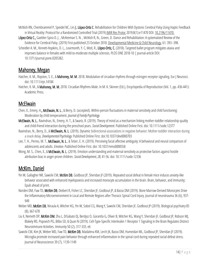- McNish RN, Chembrammel P, Speidel NC, Lin JJ, López-Ortiz C. Rehabilitation for Children With Dystonic Cerebral Palsy Using Haptic Feedback in Virtual Reality: Protocol for a Randomized Controlled Trial (2019) JMIR Res Protoc 2019;8(1):e11470 DOI: [10.2196/11470.](https://doi.org/10.2196/11470)
- López-Ortiz C., Gaebler-Spira D. J., McKeeman S. N., McNish R, N., Green, D. Dance and Rehabilitation: A systematized Review of the Evidence for Cerebral Palsy. (2019) First published 23 October 2018. Developmental Medicine & Child Neurology, 61: 393–398.
- Scheidler A. M., Kinnett-Hopkins, D. L., Learmonth, Y. C, Motl, R., López-Ortiz, C. (2018). Targeted ballet program mitigates ataxia and improves balance in females with mild-to-moderate multiple sclerosis. PLOS ONE 2018-10 | journal-article DOI: 10.1371/journal.pone.0205382.

# <span id="page-16-0"></span>Mahoney, Megan

- Hatcher, K. M., Royston, S. E., & Mahoney, M. M. 2018. Modulation of circadian rhythms through estrogen receptor signaling. Eur | Neurosci. doi: 10.1111/ejn.14184
- Hatcher, K. M., & Mahoney, M. M. 2018. Circadian Rhythms-Male. In M. K. Skinner (Ed.), Encyclopedia of Reproduction (Vol. 1, pp. 436-441): Academic Press.

# <span id="page-16-1"></span>**McElwain**

- Chen, X., Emery, H., McElwain, N. L., & Berry, D. (accepted). Within-person fluctuations in maternal sensitivity and child functioning: Moderation by child temperament. *Journal of Family Psychology*.
- McElwain, N. L., Ravindran, N., Emery, H. T., & Swartz, R. (2019). Theory of mind as a mechanism linking mother-toddler relationship quality and child-friend interaction during the preschool years. *Social Development*. Published Online First. doi: 10.1111/sode.12377
- Ravindran, N., Berry, D., & McElwain, N. L. (2019). Dynamic bidirectional associations in negative behavior: Mother-toddler interaction during a snack delay. *Developmental Psychology.* Published Online First. doi:10.1037/dev0000703
- Lee, T. H., Perino, M. T., McElwain, N. L., & Telzer, E. H. (2019). Perceiving facial affective ambiguity: A behavioral and neural comparison of adolescents and adults. *Emotion*. Published Online First. doi: 10.1037/emo0000558
- Wong, M. S., Chen, X., & McElwain, N. L. (2019). Emotion understanding and maternal sensitivity as protective factors against hostile attribution bias in anger-prone children. *Social Development*,*28*, 41-56. doi: 10.1111/sode.12336

# <span id="page-16-2"></span>McKim, Daniel

- Yin W, Gallagher NR, Sawicki CM, McKim DB, Godbout JP, Sheridan JF (2019). Repeated social defeat in female mice induces anxiety-like behavior associated with enhanced myelopoiesis and increased monocyte accumulation in the brain. Brain, behavior, and immunity; Epub ahead of print.
- Norden DM, Faw TD, McKim DB, Deibert R, Fisher LC, Sheridan JF, Godbout JP, & Basso DM (2019). Bone Marrow-Derived Monocytes Drive the Inflammatory Microenvironment in Local and Remote Regions after Thoracic Spinal Cord Injury. Journal of neurotrauma 36 (6), 937- 949
- Weber MD, McKim DB, Niraula A, Witcher KG, Yin W, Sobol CG, Wang Y, Sawicki CM, Sheridan JF, Godbout JP (2019). Biological psychiatry 85 (8), 667-678
- Liu X, Nemeth DP, McKim DM, Zhu L, DiSabato DJ, Berdysz O, Gorantla G, Oliver B, Witcher KG, Wang Y, Sheridan JF, Godbout JP, Robson MJ, Blakely RD, Popovich PG, Bilbo SD, & Quan N (2019). Cell-Type-Specific Interleukin 1 Receptor 1 Signaling in the Brain Regulates Distinct Neuroimmune Activities. Immunity 50 (2), 317-333. e6
- Sawicki CM, Kim JK, Weber MD, Faw TD, McKim DB, Madalena KM, Lerch JK, Basso DM, Humeidan ML, Godbout JP, Sheridan JF (2019). Microglia promote increased pain behavior through enhanced inflammation in the spinal cord during repeated social defeat stress. Journal of Neuroscience 39 (7), 1139-1149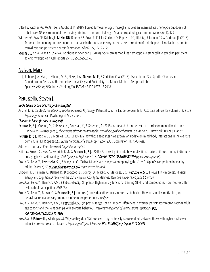- O'Neil S, Witcher KG, McKim DB, & Godbout JP (2018). Forced turnover of aged microglia induces an intermediate phenotype but does not rebalance CNS environmental cues driving priming to immune challenge. Acta neuropathologica communications 6 (1), 129
- Witcher KG, Bray CE, Dziabis JE, McKim DB, Benner BB, Rowe R, Kokiko-Cochran O, Popovich PG, Lifshitz J, Eiferman DS, & Godbout JP (2018). Traumatic brain injury‐induced neuronal damage in the somatosensory cortex causes formation of rod‐shaped microglia that promote astrogliosis and persistent neuroinflammation. *Glia 66 (12), 2719-2736*
- McKim DB, Yin W, Wang Y, Cole SW, Godbout |P, Sheridan |F (2018). Social stress mobilizes hematopoietic stem cells to establish persistent splenic myelopoiesis. Cell reports 25 (9), 2552-2562. e3

# <span id="page-17-0"></span>Nelson, Mark

Li, J., Robare, J. A., Gao, L., Ghane, M. A., Flaws, J. A., Nelson, M. E., & Christian, C. A. (2018). Dynamic and Sex-Specific Changes in Gonadotropin-Releasing Hormone Neuron Activity and Excitability in a Mouse Model of Temporal Lobe Epilepsy. *eNeuro*, *5*(5). <https://doi.org/10.1523/ENEURO.0273-18.2018>

#### <span id="page-17-1"></span>Pettuzzello, Steven J.

#### *Books Edited or Co-Edited (in print or accepted)*

Anshel, M. (accepted). *Handbook of Sport and Exercise Psychology,* Petruzzello, S.J., & Labbé-Coldsmith, E., Associate Editors for Volume 2: *Exercise Psychology*. American Psychological Association.

#### *Chapters in Books (in print or accepted)*

- Petruzzello, S.J., Greene, D., Chizewski, A., Rougeau, K., & Greenlee, T. (2018). Acute and chronic effects of exercise on mental health. In H. Budde & M. Wegner (Eds.), *The exercise effect on mental health: Neurobiological mechanisms* (pp. 442-476). New York: Taylor & Francis.
- Petruzzello, S.J., Box, A.G., & Morales, D.G. (2019). My, how those seedlings have grown: An update on mind/body interactions in the exercise domain. In J.M. Rippe (Ed.), *Lifestyle Medicine, 3rd edition* (pp. 1227-1236). Boca Raton, FL: CRCPress.

Articles in Journals - Peer Reviewed *(in print or accepted)*

- Feito, Y., Brown, C., Box, A., Heinrich, K.M., & Petruzzello, S.J. (2018). An investigation into how motivational factors differed among individuals engaging in CrossFit training. *SAGE Open, July-September,* 1-8. *DOI:/10.1177/2158244018803139 (open access journal).*
- Box, A.G., Feito, Y., Petruzzello, S.J., & Mangine, G. (2018). Mood state changes accompanying the CrossFit Open™ competition in healthy adults. *Sports, 6, 67*. *DOI:10.3390/sports6030067(open access journal).*
- Erickson, K.I., Hillman, C., Ballard, R., Bloodgood, B., Conroy, D., Macko, R., Marquez, D.X., Petruzzello, S.J., & Powell, K. (In press). Physical activity and cognition: A review of the 2018 Physical Activity Guidelines. *Medicine & Science in Sports & Exercise*.
- Box, A.G., Feito, Y., Heinrich, K.M., & Petruzzello, S.J. (In press). High intensity functional training (HIFT) and competitions: How motives differ by length of participation. *PLOS One.*
- Box, A.G., Feito, Y., Brown, C., & Petruzzello, S.J. (In press). Individual differences in exercise behavior: How personality, motivation, and behavioral regulation vary among exercise mode preferences. *Heliyon.*
- Box, A.G., Feito, Y., Heinrich, K.M., & Petruzzello, S.J. (In press). Is age just a number? Differences in exercise participatory motives across adult age cohorts and the relationships with exercise behaviour. *International Journal of Sport Exercise Psychology. DOI: /10.1080/1612197X.2019.1611903*
- <span id="page-17-2"></span>Box, A.G., & Petruzzello, S.J. (In press). Why do they do it? Differences in high-intensity exercise-affect between those with higher and lower intensity preference and tolerance. *Psychology of Sport & Exercise. DOI: 10.1016/j.psychsport.2019.04.011*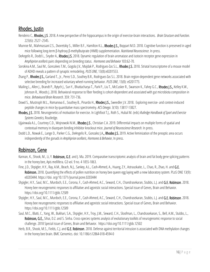## Rhodes, Justin

- Rendeiro C., Rhodes, J.S. 2018. A new perspective of the hippocampus in the origin of exercise-brain interactions. *Brain Structure and Function*. 223(6): 2527–2545.
- Munroe M., Mahmassani Z.S., Dvoretskiy S., Miller B.F., Hamilton K.L., Rhodes J.S., Boppart M.D. 2018. Cognitive function is preserved in aged mice following long-term β-hydroxy β-methylbutyrate (HMB) supplementation. *Nutritional Neuroscience*. In press.
- DeAngelis R., Dodd L., Snyder A., Rhodes J.S. 2018. Dynamic regulation of brain aromatase and isotocin receptor gene expression in *Amphiprion ocellaris* pairs depending on breeding status. *Hormones and Behavior* 103:62-70.
- Sorokina A.M., Saul M., Goncalves T.M., Gogola J.V., Majdak P., Rodriguez-Zas S.L., Rhodes J.S. 2018. Striatal transcriptome of a mouse model of ADHD reveals a pattern of synaptic remodeling. *PLOS ONE*, 13(8):e0201553.
- Zhang P., **Rhodes J.S.,** Garland T., Jr., Perez S.D., Southey B.R., Rodriguez-Zas S.L. 2018. Brain region-dependent gene networks associated with selective breeding for increased voluntary wheel-running behavior. *PLOS ONE*, 13(8): e0201773.
- Mailing L., Allen J., Brandt P., Rytych J., Sun Y., Bhattacharya T., Park P., Liu T., McCusker R., Swanson K., Fahey G.C., Rhodes J.S., Kelley K.W., Johnson R., Woods J. 2018. Behavioral response to fiber feeding is cohort-dependent and associated with gut microbiota composition in mice. *Behavioural Brain Research*. 359: 731-736.
- Dowd S., Mustroph M.L., Romanova E., Southey B., Pinardo H., Rhodes J.S., Sweedler J.V. 2018. Exploring exercise- and context-induced peptide changes in mice by quantitative mass spectrometry. *ACS Omega*. 3(10): 13817-13827.
- Rhodes, J.S. 2018. Neurogenetics of motivation for exercise. In Lightfoot T.J., Roth S., Hubal M. (eds) *Rutledge Handbook of Sport and Exercise Systems Genetics,* Routledge.
- Ujjainwala A.L., Courtney C.D., Wojnowski N.M., Rhodes J.S., Christian C.A. 2019. Differential impacts on multiple forms of spatial and contextual memory in diazepam binding inhibitor knockout mice. *Journal of Neuroscience Research*. In press.
- Dodd L.D., Nowak E., Lange D., Parker C.G., DeAngelis R., Gonzalez J.A., Rhodes J.S. 2019. Active feminization of the preoptic area occurs independently of the gonads in *Amphiprion ocellaris*, *Hormones & Behavior*, In press.

#### <span id="page-18-0"></span>Robinson, Gene

- Kannan, K., Shook, M., Li, Y. Robinson, G.E. and J. Ma. 2019. Comparative transcriptomic analysis of brain and fat body gene splicing patterns in the honey bee, Apis mellifera. G3 vol. 9 no. 4 1055-1063.
- Fine, J.D., Shpigler, H.Y., Ray, A.M., Beach, N.J., Sankey, A.L., Cash-Ahmed, A., Huang, Z.Y., Astrauskaite, L., Chao, R., Zhao, H. and G.E. Robinson. 2018. Quantifying the effects of pollen nutrition on honey bee queen egg laying with a new laboratory system. PLoS ONE 13(9): e0203444[. https://doi.](https://doi/) org/10.1371/journal.pone.0203444
- Shpigler, H.Y., Saul, M.C., Murdoch, E.E., Corona, F., Cash-Ahmed, A.C., Seward, C.H., Chandrasekaran, Stubbs, L.J. and G.E. Robinson. 2018. Honey bee neurogenomic responses to affiliative and agonistic social interactions. Special issue of Genes, Brain and Behavior. <https://doi.org/10.1111/gbb.12509>
- Shpigler, H.Y., Saul, M.C., Murdoch, E.E., Corona, F., Cash-Ahmed, A.C., Seward, C.H., Chandrasekaran, Stubbs, L.J. and G.E. Robinson. 2018. Honey bee neurogenomic responses to affiliative and agonistic social interactions. Special issue of Genes, Brain and Behavior. <https://doi.org/10.1111/gbb.12509>
- Saul, M.C., Blatti, C., Yang, W., Bukhari, S.A., Shpigler, H.Y., Troy, J.M., Seward, C.H., Sloofman, L., Chandrasekaran, S., Bell, A.M., Stubbs, L., Robinson, G.E., Sihai, D.Z. and S. Sinha. Cross-species systems analysis of evolutionary toolkits of neurogenomic response to social challenge. 2018 Special issue of Genes, Brain and Behavior.<https://doi.org/10.1111/gbb.12502>
- Herb, B.R., Shook, M.S., Fields, C.J. and G.E. Robinson. 2018. Defense against territorial intrusion is associated with DNA methylation changes in the honey bee brain. BMC Genomics. doi: 10.1186/s12864-018-4594-0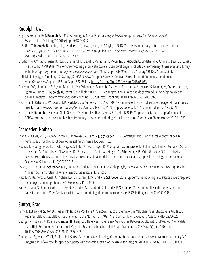## <span id="page-19-0"></span>Rudolph, Uwe

- Engin, E, Benham, RS & Rudolph, U 2018, 'An Emerging Circuit Pharmacology of GABA<sub>A</sub> Receptors' *Trends in Pharmacological Sciences*. <https://doi.org/10.1016/j.tips.2018.04.003>
- Li, S, Uno, Y, Rudolph, U, Cobb, J, Liu, J, Anderson, T, Levy, D, Balu, DT & Coyle, JT 2018, 'Astrocytes in primary cultures express serine racemase, synthesize D-serine and acquire A1 reactive astrocyte features'*Biochemical Pharmacology*, vol. 151, pp. 245- 251. <https://doi.org/10.1016/j.bcp.2017.12.023>
- Grochowski, CM, Gu, S, Yuan, B, Tcw, J, Brennand, KJ, Sebat, J, Malhotra, D, McCarthy, S, Rudolph, U, Lindstrand, A, Chong, Z, Levy, DL, Lupski, JR & Carvalho, CMB 2018, 'Marker chromosome genomic structure and temporal origin implicate a chromoanasynthesis event in a family with pleiotropic psychiatric phenotypes' *Human mutation*, vol. 39, no. 7, pp. 939-946. <https://doi.org/10.1002/humu.23537>
- Seifi, M, Rodaway, S, Rudolph, U & Swinny, JD 2018, 'GABA<sub>A</sub> Receptor Subtypes Regulate Stress-Induced Colon Inflammation in Mice' *Gastroenterology*, vol. 155, no. 3, pp. 852-864.e3. <https://doi.org/10.1053/j.gastro.2018.05.033>
- Ralvenius, WT, Neumann, E, Pagani, M, Acuña, MA, Wildner, H, Benke, D, Fischer, N, Rostaher, A, Schwager, S, Detmar, M, Frauenknecht, K, Aguzzi, A, Hubbs, JL, Rudolph, U, Favrot, C & Zeilhofer, HU 2018, 'Itch suppression in mice and dogs by modulation of spinal α2 and α3GABA<sup>A</sup> receptors' *Nature communications*, vol. 9, no. 1, 3230. https://doi.org/10.1038/s41467-018-05709-0
- Neumann, E, Ralvenius, WT, Acuña, MA, Rudolph, U & Zeilhofer, HU 2018, 'TP003 is a non-selective benzodiazepine site agonist that induces anxiolysis via α2GABA<sup>A</sup> receptors' *Neuropharmacology*, vol. 143, pp. 71-78. https://doi.org/10.1016/j.neuropharm.2018.09.026
- Neumann E, Rudolph U, Knutson DE, Li G, Cook JM, Hentschke H, Antkowiak B, Drexler B 2019, 'Zolpidem activation of alpha1-containing GABAA receptors selectively inhibits high frequency action potential firing of cortical neurons.' Frontiers in Pharmacology 2019;9:1523

#### <span id="page-19-1"></span>Schroeder, Nathan

Thapa, S., Gates, M.K., Reuter-Carlson, U., Androwski, R.J., and N.E. Schroeder. 2019. Convergent evolution of saccate body shapes in nematodes through distinct developmental mechanisms. EvoDevo. 10:5.

- Hughes, K., Rodriguez, A., Flatt, K.M., Ray, S., Schuler, A., Rodemoyer, B., Veerappan, V., Cuciarone, K., Kullman, A., Lim, C., Gutta, C., Gutta, N., Vemuri, S., Andriulis, V., Niswonger, D., Barickman, L., Stein, W., Singhvi, A., Schroeder, N.E., Vidal-Gadea, A.G. 2019. Physical exertion exacerbates decline in the musculature of an animal model of Duchenne muscular dystrophy. Proceedings of the National Academy of Sciences. 116(9):3508-3517
- Cohen, J.D., Flatt, K.M., Schroeder, N.E., and M.V. Sundaram. 2019. Epithelial shaping by diverse apical extracellular matrices requires the Nidogen domain protein DEX-1 in *C. elegans.* Genetics. 211:184-200
- Flatt, K.M., Beshers, C., Unal., C., Cohen, J.D., Sundaram, M.V., and N.E. Schroeder. 2019. Epidermal remodeling in *C. elegans* dauers requires the nidogen domain protein DEX-1. Genetics. 211:169-183
- Han, Z., Thapa, S., Reuter-Carlson, U., Reed, H., Gates, M., Lambert, K.N., and **N.E. Schroeder.** 2018. Immobility in the sedentary plantparasitic nematode *H. glycines* is associated with remodeling of neuromuscular tissue. PLOS Pathogens. 14(8): e1007198

## <span id="page-19-2"></span>Sutton, Brad

- Perry JL, Kotlarek KJ, Sutton BP, Kuehn DP, Jaskolka MS, Fang X, Point SW, Rauccio F. Variations in Velopharyngeal Structure in Adults With Repaired Cleft Palate. Cleft Palate Craniofac J. 2018 Nov;55(10):1409-1418. doi: 10.1177/1055665617752803. PMID: 29356620
- George TN, Kotlarek KJ, Kuehn DP, Sutton BP, Perry JL. Differences in the Tensor Veli Palatini Between Adults With and Without Cleft Palate Using High-Resolution 3-Dimensional Magnetic Resonance Imaging. Cleft Palate Craniofac J. 2018 May;55(5):697-705. doi: 10.1177/1055665617752802. PMID: 29360409
- Zimmerman BJ, Mudd AT, Fil JE, Dilger RN, Sutton BP. Noninvasive imaging of cerebral blood volume in piglets with vascular occupancy MR imaging and inflow vascular space occupancy with dynamic subtraction. Magn Reson Imaging. 2018 Jul;50:54-60. PMID: 29540331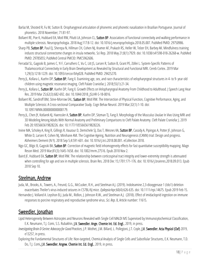- Barlaz M, Shosted R, Fu M, Sutton B. Oropharygneal articulation of phonemic and phonetic nasalization in Brazilian Portuguese. Journal of phonetics. 2018 November; 71:81-97.
- Bollaert RE, Poe K, Hubbard EA, Motl RW, Pilutti LA, Johnson CL, Sutton BP. Associations of functional connectivity and walking performance in multiple sclerosis. Neuropsychologia. 2018 Aug;117:8-12. doi: 10.1016/j.neuropsychologia.2018.05.007. PubMed PMID: 29750986.
- Sharp PB, Sutton BP, Paul EJ, Sherepa N, Hillman CH, Cohen NJ, Kramer AF, Prakash RS, Heller W, Telzer EH, Barbey AK. Mindfulness training induces structural connectome changes in insula networks. Sci Rep. 2018 May 21;8(1):7929. doi: 10.1038/s41598-018-26268-w. PubMed PMID: 29785055; PubMed Central PMCID: PMC5962606.
- Ferradal SL, Gagoski B, Jaimes C, Yi F, Carruthers C, Vu C, Litt JS, Larsen R, Sutton B, Grant PE, Zöllei L. System-Specific Patterns of Thalamocortical Connectivity in Early Brain Development as Revealed by Structural and Functional MRI. Cereb Cortex. 2019 Mar 1;29(3):1218-1229. doi: 10.1093/cercor/bhy028. PubMed PMID: 29425270.
- Perry IL, Kollara L, Kuehn DP, Sutton BP, Fang X. Examining age, sex, and race characteristics of velopharyngeal structures in 4- to 9- year old children using magnetic resonance imaging. Cleft Palate Craniofac J. 2018;55(1):21-34.
- Perry IL, Kollara L, Sutton BP, Kuehn DP, Fang X. Growth Effects on Velopharyngeal Anatomy From Childhood to Adulthood. I Speech Lang Hear Res. 2019 Mar 25;62(3):682-692. doi: 10.1044/2018\_JSLHR-S-18-0016.
- Bollaert RE, Sandroff BM, Stine-Morrow EAL, Sutton BP, Motl RW. The Intersection of Physical Function, Cognitive Performance, Aging, and Multiple Sclerosis: A Cross-sectional Comparative Study. Cogn Behav Neurol. 2019 Mar;32(1):1-10. doi: 10.1097/WNN.0000000000000179.
- Perry JL, Chen JY, Kotlarek KJ, Haenssler A, Sutton BP, Kuehn DP, Sitzman TJ, Fang X. Morphology of the Musculus Uvulae In Vivo Using MRI and 3D Modeling Among Adults With Normal Anatomy and Preliminary Comparisons to Cleft Palate Anatomy. Cleft Palate Craniofac J. 2019 Feb 20:1055665619828226. doi: 10.1177/1055665619828226.
- Irvine MA, Scholey A, King R, Gillings R, Vauzour D, Demichele SJ, Das T, Wesnes KA, Sutton BP, Cassidy A, Pipingas A, Potter JF, Johnson G, White D, Larsen R, Cohen NJ, Minihane AM. The Cognitive Ageing, Nutrition and Neurogenesis (CANN) trial: Design and progress. Alzheimers Dement (N Y). 2018 Sep 5;4:591-601. doi: 10.1016/j.trci.2018.08.001. eCollection 2018.
- Ngo GC, Bilgic B, Gagoski BA, **Sutton BP**. Correction of magnetic field inhomogeneity effects for fast quantitative susceptibility mapping. Magn Reson Med. 2019 Mar;81(3):1645-1658. doi: 10.1002/mrm.27516. Epub 2018 Nov 2.
- Baird JF, Hubbard EA, Sutton BP, Motl RW. The relationship between corticospinal tract integrity and lower-extremity strength is attenuated when controlling for age and sex in multiple sclerosis. Brain Res. 2018 Dec 15;1701:171-176. doi: 10.1016/j.brainres.2018.09.013. Epub 2018 Sep 10.

#### <span id="page-20-0"></span>Steelman, Andrew

Juda, M., Brooks, A., Towers, A., Freund, G.G., McCusker, R.H., and Steelman A.J. (2019). Indoleamine 2,3-dioxygenase 1 (Ido1) deletion exacerbates Theiler's virus-induced seizures in C57BL/6J mice. *Epilepsia* Apr;60(4):626-635. doi: 10.1111/epi.14675. Epub 2019 Feb 15. Hernandez J. Volland A. Leyshon B.J. Juda M., Ridlon, J. Johnson R.W., and Steelman A.J. (2018). Effect of imidacloprid ingestion on immune

responses to porcine respiratory and reproductive syndrome virus. *Sci. Rep*. 8, Article number: 11615.

## <span id="page-20-1"></span>Sweedler, Jonathan

- Lipid Heterogeneity Between Astrocytes and Neurons Revealed with Single Cell MALDI MS Supervised by Immunocytochemical Classification, E.K. Neumann, T.J. Comi, S.S. Rubakhin, J.V. Sweedler, Ange. Chemie Int. Ed. Engl., 2019, in press.
- *Investigating Brain D-Serine: Advocacy for Good Practices*, J.P. Mothet, J.M. Billard, L. Pollegioni, J.T. Coyle, J.V. Sweedler, Acta Physiol (Oxf) 2019, e13257, in press.
- Exploring the Fundamental Structures of Life: Non-targeted, Chemical Analysis of Single Cells and Subcellular Structures, E.K. Neumann, T.D. Do, T.J. Comi, J.V. Sweedler, Angew. Chemie Int. Ed. Engl., 2019, in press.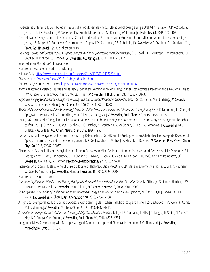<sup>13</sup>C-Lutein is Differentially Distributed in Tissues of an Adult Female Rhesus Macaque Following a Single Oral Administration: A Pilot Study, S. Jeon, Q. Li, S.S. Rubakhin, J.V. Sweedler, J.W. Smith, M. Neuringer, M. Kuchan, J.W. Erdman Jr., Nutr. Res. 61, 2019, 102–108.

Gene Network Dysregulation in the Trigeminal Ganglia and Nucleus Accumbens of a Model of Chronic Migraine-Associated Hyperalgesia, H. Jeong, L.S. Moye, B.R. Southey, A.G. Hernandez, I. Dripps, E.V. Romanova, S.S. Rubakhin, J.V. Sweedler, A.A. Pradhan, S.L. Rodriguez-Zas,

Front. Sys. Neurosci. 12:63, eCollection 2018.

*Exploring Exercise-and Context-Induced Peptide Changes in Mice by Quantitative Mass Spectrometry*, S.E. Dowd, M.L. Mustroph, E.V. Romanova, B.R. Southey, H. Pinardo, J.S. Rhodes, J.V. Sweedler, ACS Omega 3, 2018, 13817–13827.

Selected as an ACS Editors' Choice article.

Featured in several online articles, including:

Science Daily[: https://www.sciencedaily.com/releases/2018/11/181114120317.htm](https://www.sciencedaily.com/releases/2018/11/181114120317.htm) 

Physorg:<https://phys.org/news/2018-11-drug-addiction.html>

Science Daily: Neuroscience News[: https://neurosciencenews.com/exercise-drug-addiction-10197/](https://neurosciencenews.com/exercise-drug-addiction-10197/) 

Aplysia Allatotropin-related Peptide and its Newly identified D-Amino Acid-Containing Epimer Both Activate a Receptor and a Neuronal Target, J.W. Checco, G. Zhang, W.-D. Yuan, Z.-W. Le, J. Jing, J.V. Sweedler, J. Biol. Chem. 293, 16862–16873.

*Rapid Screening of Lanthipeptide Analogs Via in-Colony Removal of Leader Peptides in Escherichia Coli*, T. Si, Q. Tian, Y. Min, L. Zhang, J.V. Sweedler, W.A. van der Donk, H. Zhao, J. Am. Chem. Soc. 140, 2018, 11884–11888.

*Multimodal Chemical Analysis of the Brain by High Mass Resolution Mass Spectrometry and Infrared Spectroscopic Imaging*, E.K. Neumann, T.J. Comi, N. Spegazzini, J.W. Mitchell, S.S. Rubakhin, M.U. Gillette, R. Bhargava, J.V. Sweedler, Anal. Chem. 90, 2018, 11572–11580.

cAMP, Ca2+, pHi, and NO Regulate H-Like Cation Channels That Underlie Feeding and Locomotion in the Predatory Sea-Slug Pleurobranchaea californica, D.J. Green, R.C. Huang, L. Sudlow, N.G. Hatcher, K. Potgieter, C.R. McCrohan, C. Lee, E.V. Romanova, J.V. Sweedler, M.U. Gillette, R.G. Gillette, ACS Chem. Neurosci. 9, 2018, 1986–1993.

Conformational Investigation of the Structure – Activity Relationship of GdFFD and Its Analogues on an Achatin-like Neuropeptide Receptor of Aplysia californica Involved in the Feeding Circuit, T.D. Do, J.W. Checco, M. Tro, J.-E. Shea, M.T. Bowers, J.V. Sweedler, Phys. Chem. Chem. Phys. 20, 2018, 22047–22057.

Disruption of Microglia Histone Acetylation and Protein Pathways in Mice Exhibiting Inflammation-Associated Depression-Like Symptoms, S.L. Rodriguez-Zas, C. Wu, B.R. Southey, J.C. O'Connor, S.E. Nixon, R. Garcia, C. Zavala, M. Lawson, R.H. McCusker, E.V. Romanova, J.V.

Sweedler, K.W. Kelley, R. Dantzer, Psychoneuroendocrinology 97, 2018, 47–58.

Interrogation of Spatial Metabolome of Ginkgo biloba with High-resolution MALDI and LDI Mass Spectrometry Imaging, B. Li, E.K. Neumann, W. Gao, H. Yang, P. Li, J.V. Sweedler, Plant Cell Environ. 41, 2018, 2693–2703.

Featured on the journal cover.

*Functional Peptidomics: Stimulus-and Time-of-Day-Specific Peptide Release in the Mammalian Circadian Clock*, N. Atkins, Jr., S. Ren, N. Hatcher, P.W. Burgoon, J.W. Mitchell, J.V. Sweedler, M.U. Gillette, ACS Chem. Neurosci. 9, 2018, 2001–2008.

*Single Synaptic Observation of Cholinergic Neurotransmission on Living Neurons: Concentration and Dynamics*, M. Shen, Z. Qu, J. DesLaurier, T.M. Welle, J.V. Sweedler, R. Chen, J. Am. Chem. Soc. 140, 2018, 7764–7768.

A High Spatiotemporal Study of Somatic Exocytosis with Scanning Electrochemical Microscopy and NanoITIES Electrodes, T.M. Welle, K. Alanis, M.L. Colombo, J.V. Sweedler, M. Shen, Chem. Sci. 9, 2018, 4937–4941.

*A Versatile Strategy for Characterization and Imaging of Drip Flow Microbial Biofilms*, B. Li, S.J.B. Dunham, J.F. Ellis, J.D. Lange, J.R. Smith, N. Yang, T.L. King, K.R. Amaya, C.M. Arnett, J.V. Sweedler, Anal. Chem. 90, 2018, 6725–6734.

<span id="page-21-0"></span>Integrating Mass Spectrometry with Microphysiological Systems for Improved Chemical Information, E.G. Tillmaand, J.V. Sweedler, Microphysiol. Syst. 2, 2018, 4.